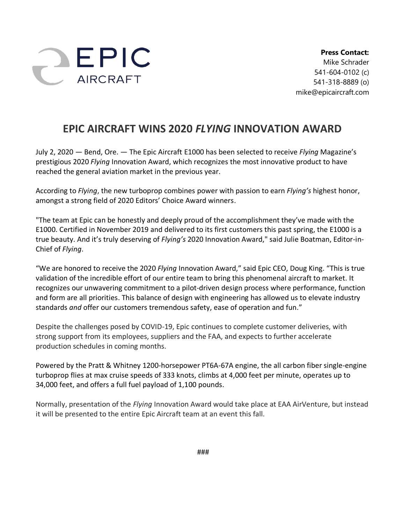

**Press Contact:** Mike Schrader 541-604-0102 (c) 541-318-8889 (o) mike@epicaircraft.com

## **EPIC AIRCRAFT WINS 2020** *FLYING* **INNOVATION AWARD**

July 2, 2020 — Bend, Ore. — The Epic Aircraft E1000 has been selected to receive *Flying* Magazine's prestigious 2020 *Flying* Innovation Award, which recognizes the most innovative product to have reached the general aviation market in the previous year.

According to *Flying*, the new turboprop combines power with passion to earn *Flying's* highest honor, amongst a strong field of 2020 Editors' Choice Award winners.

"The team at Epic can be honestly and deeply proud of the accomplishment they've made with the E1000. Certified in November 2019 and delivered to its first customers this past spring, the E1000 is a true beauty. And it's truly deserving of *Flying's* 2020 Innovation Award," said Julie Boatman, Editor-in-Chief of *Flying*.

"We are honored to receive the 2020 *Flying* Innovation Award," said Epic CEO, Doug King. "This is true validation of the incredible effort of our entire team to bring this phenomenal aircraft to market. It recognizes our unwavering commitment to a pilot-driven design process where performance, function and form are all priorities. This balance of design with engineering has allowed us to elevate industry standards *and* offer our customers tremendous safety, ease of operation and fun."

Despite the challenges posed by COVID-19, Epic continues to complete customer deliveries, with strong support from its employees, suppliers and the FAA, and expects to further accelerate production schedules in coming months.

Powered by the Pratt & Whitney 1200-horsepower PT6A-67A engine, the all carbon fiber single-engine turboprop flies at max cruise speeds of 333 knots, climbs at 4,000 feet per minute, operates up to 34,000 feet, and offers a full fuel payload of 1,100 pounds.

Normally, presentation of the *Flying* Innovation Award would take place at EAA AirVenture, but instead it will be presented to the entire Epic Aircraft team at an event this fall.